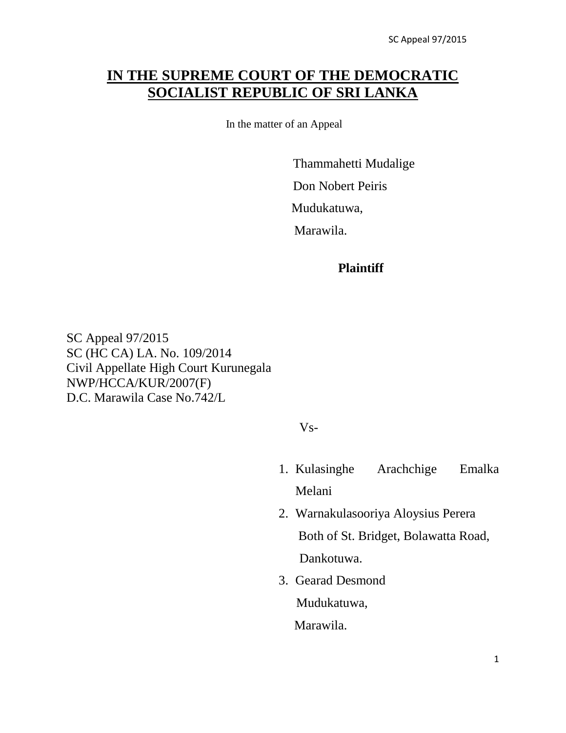# **IN THE SUPREME COURT OF THE DEMOCRATIC SOCIALIST REPUBLIC OF SRI LANKA**

In the matter of an Appeal

 Thammahetti Mudalige Don Nobert Peiris

Mudukatuwa,

Marawila.

#### **Plaintiff**

SC Appeal 97/2015 SC (HC CA) LA. No. 109/2014 Civil Appellate High Court Kurunegala NWP/HCCA/KUR/2007(F) D.C. Marawila Case No.742/L

Vs-

- 1. Kulasinghe Arachchige Emalka Melani
- 2. Warnakulasooriya Aloysius Perera Both of St. Bridget, Bolawatta Road, Dankotuwa.
- 3. Gearad Desmond Mudukatuwa, Marawila.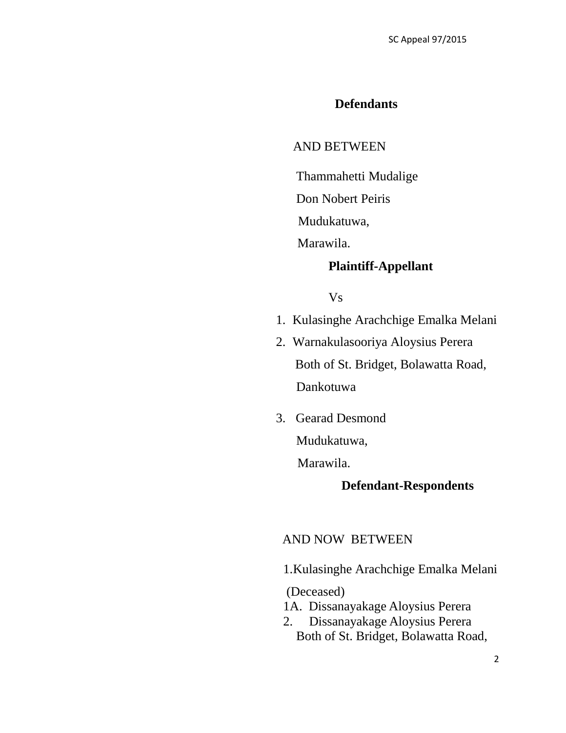## **Defendants**

## AND BETWEEN

Thammahetti Mudalige

Don Nobert Peiris

Mudukatuwa,

Marawila.

## **Plaintiff-Appellant**

### Vs

- 1. Kulasinghe Arachchige Emalka Melani
- 2. Warnakulasooriya Aloysius Perera Both of St. Bridget, Bolawatta Road, Dankotuwa
- 3. Gearad Desmond Mudukatuwa,

Marawila.

## **Defendant-Respondents**

### AND NOW BETWEEN

1.Kulasinghe Arachchige Emalka Melani

(Deceased)

- 1A. Dissanayakage Aloysius Perera
- 2. Dissanayakage Aloysius Perera Both of St. Bridget, Bolawatta Road,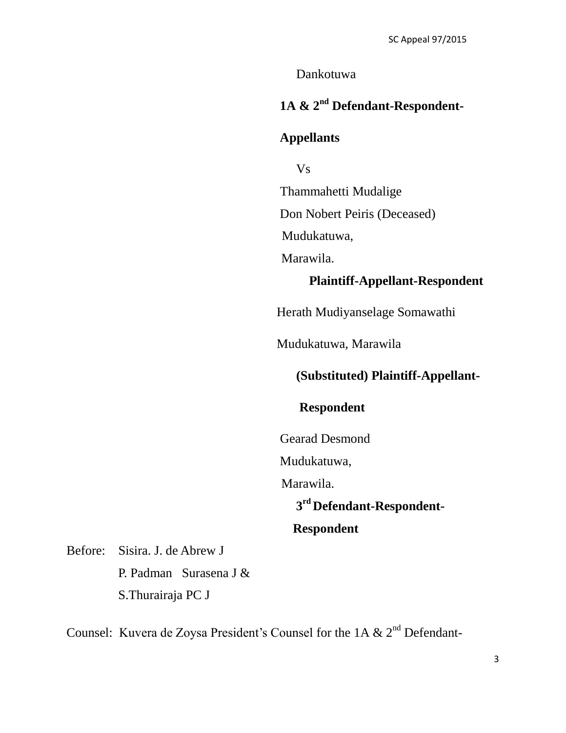Dankotuwa

# **1A & 2nd Defendant-Respondent-**

### **Appellants**

Vs Thammahetti Mudalige Don Nobert Peiris (Deceased) Mudukatuwa, Marawila.

## **Plaintiff-Appellant-Respondent**

Herath Mudiyanselage Somawathi

Mudukatuwa, Marawila

## **(Substituted) Plaintiff-Appellant-**

### **Respondent**

Gearad Desmond

Mudukatuwa,

Marawila.

# **3 rd Defendant-Respondent-**

# **Respondent**

Before: Sisira. J. de Abrew J P. Padman Surasena J & S.Thurairaja PC J

Counsel: Kuvera de Zoysa President's Counsel for the 1A  $\&$  2<sup>nd</sup> Defendant-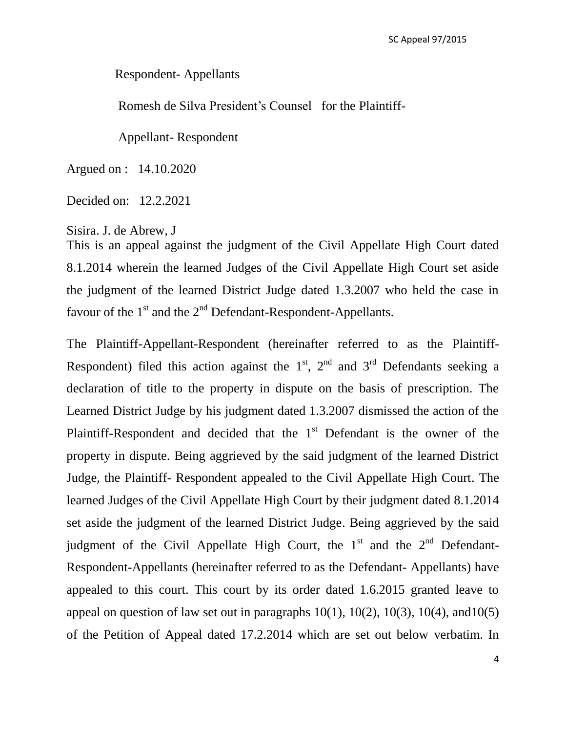Respondent- Appellants

Romesh de Silva President's Counsel for the Plaintiff-

Appellant- Respondent

Argued on : 14.10.2020

Decided on: 12.2.2021

Sisira. J. de Abrew, J

This is an appeal against the judgment of the Civil Appellate High Court dated 8.1.2014 wherein the learned Judges of the Civil Appellate High Court set aside the judgment of the learned District Judge dated 1.3.2007 who held the case in favour of the  $1<sup>st</sup>$  and the  $2<sup>nd</sup>$  Defendant-Respondent-Appellants.

The Plaintiff-Appellant-Respondent (hereinafter referred to as the Plaintiff-Respondent) filed this action against the  $1<sup>st</sup>$ ,  $2<sup>nd</sup>$  and  $3<sup>rd</sup>$  Defendants seeking a declaration of title to the property in dispute on the basis of prescription. The Learned District Judge by his judgment dated 1.3.2007 dismissed the action of the Plaintiff-Respondent and decided that the  $1<sup>st</sup>$  Defendant is the owner of the property in dispute. Being aggrieved by the said judgment of the learned District Judge, the Plaintiff- Respondent appealed to the Civil Appellate High Court. The learned Judges of the Civil Appellate High Court by their judgment dated 8.1.2014 set aside the judgment of the learned District Judge. Being aggrieved by the said judgment of the Civil Appellate High Court, the  $1<sup>st</sup>$  and the  $2<sup>nd</sup>$  Defendant-Respondent-Appellants (hereinafter referred to as the Defendant- Appellants) have appealed to this court. This court by its order dated 1.6.2015 granted leave to appeal on question of law set out in paragraphs  $10(1)$ ,  $10(2)$ ,  $10(3)$ ,  $10(4)$ , and  $10(5)$ of the Petition of Appeal dated 17.2.2014 which are set out below verbatim. In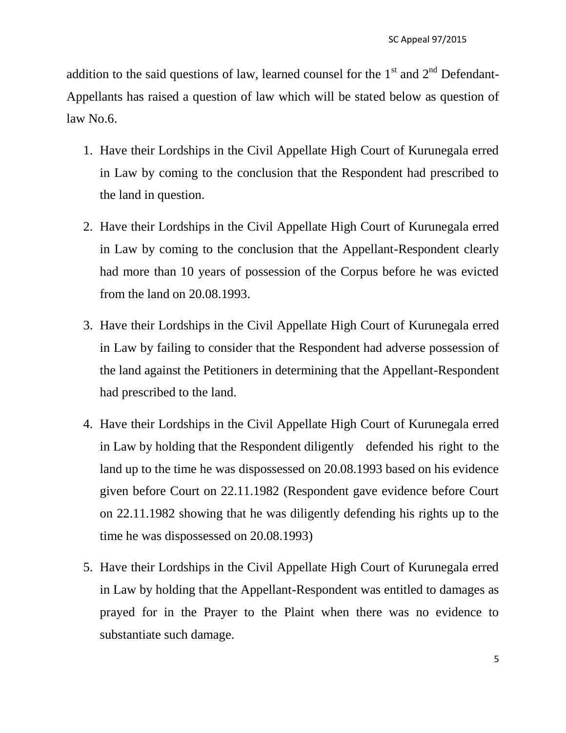addition to the said questions of law, learned counsel for the  $1<sup>st</sup>$  and  $2<sup>nd</sup>$  Defendant-Appellants has raised a question of law which will be stated below as question of law No.6.

- 1. Have their Lordships in the Civil Appellate High Court of Kurunegala erred in Law by coming to the conclusion that the Respondent had prescribed to the land in question.
- 2. Have their Lordships in the Civil Appellate High Court of Kurunegala erred in Law by coming to the conclusion that the Appellant-Respondent clearly had more than 10 years of possession of the Corpus before he was evicted from the land on 20.08.1993.
- 3. Have their Lordships in the Civil Appellate High Court of Kurunegala erred in Law by failing to consider that the Respondent had adverse possession of the land against the Petitioners in determining that the Appellant-Respondent had prescribed to the land.
- 4. Have their Lordships in the Civil Appellate High Court of Kurunegala erred in Law by holding that the Respondent diligently defended his right to the land up to the time he was dispossessed on 20.08.1993 based on his evidence given before Court on 22.11.1982 (Respondent gave evidence before Court on 22.11.1982 showing that he was diligently defending his rights up to the time he was dispossessed on 20.08.1993)
- 5. Have their Lordships in the Civil Appellate High Court of Kurunegala erred in Law by holding that the Appellant-Respondent was entitled to damages as prayed for in the Prayer to the Plaint when there was no evidence to substantiate such damage.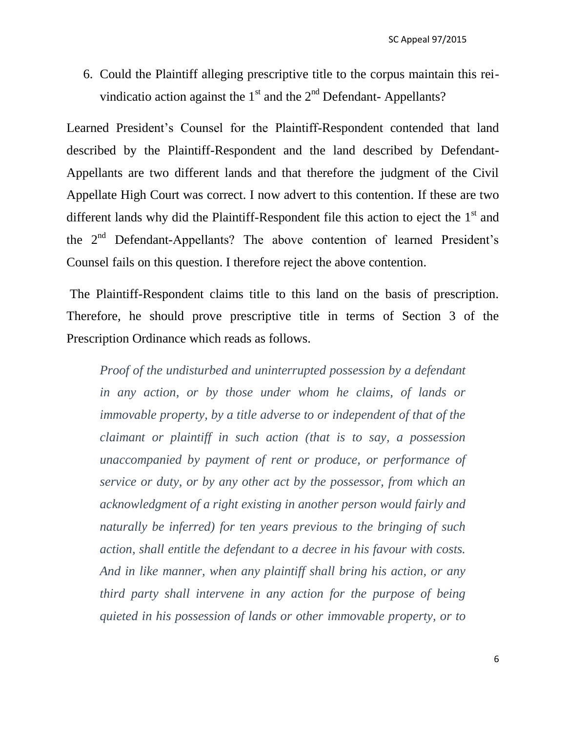6. Could the Plaintiff alleging prescriptive title to the corpus maintain this reivindicatio action against the  $1<sup>st</sup>$  and the  $2<sup>nd</sup>$  Defendant- Appellants?

Learned President's Counsel for the Plaintiff-Respondent contended that land described by the Plaintiff-Respondent and the land described by Defendant-Appellants are two different lands and that therefore the judgment of the Civil Appellate High Court was correct. I now advert to this contention. If these are two different lands why did the Plaintiff-Respondent file this action to eject the  $1<sup>st</sup>$  and the 2nd Defendant-Appellants? The above contention of learned President's Counsel fails on this question. I therefore reject the above contention.

The Plaintiff-Respondent claims title to this land on the basis of prescription. Therefore, he should prove prescriptive title in terms of Section 3 of the Prescription Ordinance which reads as follows.

*Proof of the undisturbed and uninterrupted possession by a defendant in any action, or by those under whom he claims, of lands or immovable property, by a title adverse to or independent of that of the claimant or plaintiff in such action (that is to say, a possession unaccompanied by payment of rent or produce, or performance of service or duty, or by any other act by the possessor, from which an acknowledgment of a right existing in another person would fairly and naturally be inferred) for ten years previous to the bringing of such action, shall entitle the defendant to a decree in his favour with costs. And in like manner, when any plaintiff shall bring his action, or any third party shall intervene in any action for the purpose of being quieted in his possession of lands or other immovable property, or to*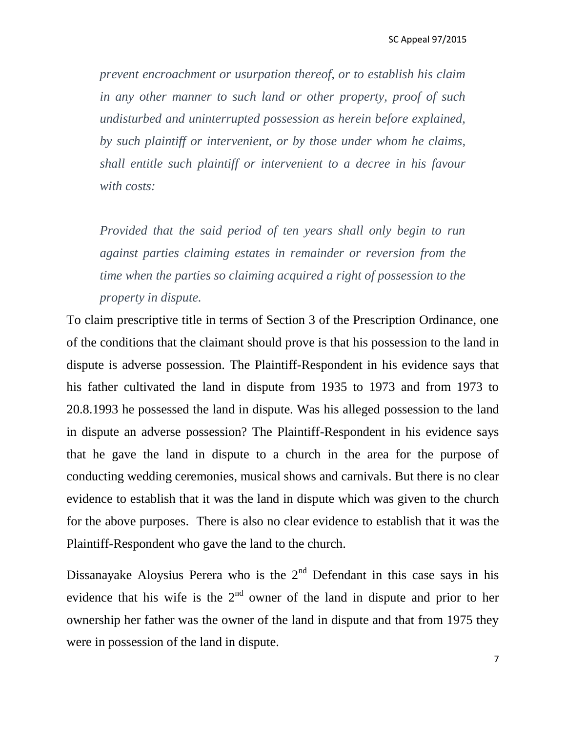*prevent encroachment or usurpation thereof, or to establish his claim in any other manner to such land or other property, proof of such undisturbed and uninterrupted possession as herein before explained, by such plaintiff or intervenient, or by those under whom he claims, shall entitle such plaintiff or intervenient to a decree in his favour with costs:*

*Provided that the said period of ten years shall only begin to run against parties claiming estates in remainder or reversion from the time when the parties so claiming acquired a right of possession to the property in dispute.*

To claim prescriptive title in terms of Section 3 of the Prescription Ordinance, one of the conditions that the claimant should prove is that his possession to the land in dispute is adverse possession. The Plaintiff-Respondent in his evidence says that his father cultivated the land in dispute from 1935 to 1973 and from 1973 to 20.8.1993 he possessed the land in dispute. Was his alleged possession to the land in dispute an adverse possession? The Plaintiff-Respondent in his evidence says that he gave the land in dispute to a church in the area for the purpose of conducting wedding ceremonies, musical shows and carnivals. But there is no clear evidence to establish that it was the land in dispute which was given to the church for the above purposes. There is also no clear evidence to establish that it was the Plaintiff-Respondent who gave the land to the church.

Dissanayake Aloysius Perera who is the  $2<sup>nd</sup>$  Defendant in this case says in his evidence that his wife is the  $2<sup>nd</sup>$  owner of the land in dispute and prior to her ownership her father was the owner of the land in dispute and that from 1975 they were in possession of the land in dispute.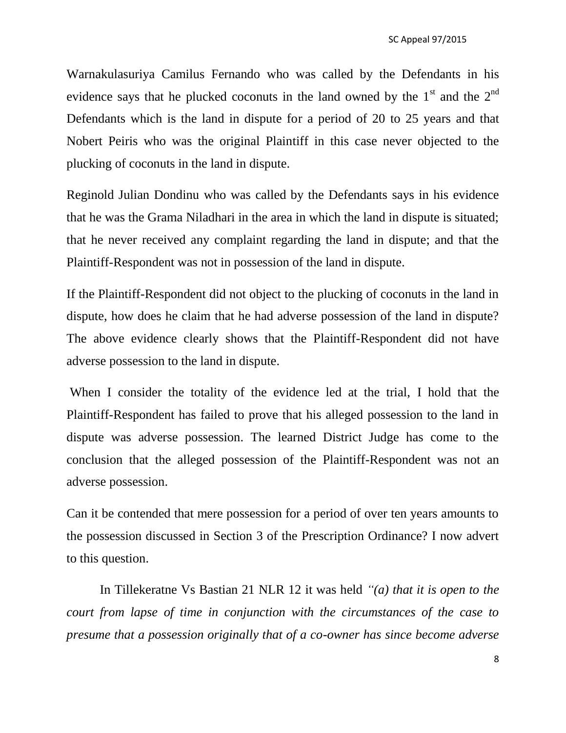Warnakulasuriya Camilus Fernando who was called by the Defendants in his evidence says that he plucked coconuts in the land owned by the  $1<sup>st</sup>$  and the  $2<sup>nd</sup>$ Defendants which is the land in dispute for a period of 20 to 25 years and that Nobert Peiris who was the original Plaintiff in this case never objected to the plucking of coconuts in the land in dispute.

Reginold Julian Dondinu who was called by the Defendants says in his evidence that he was the Grama Niladhari in the area in which the land in dispute is situated; that he never received any complaint regarding the land in dispute; and that the Plaintiff-Respondent was not in possession of the land in dispute.

If the Plaintiff-Respondent did not object to the plucking of coconuts in the land in dispute, how does he claim that he had adverse possession of the land in dispute? The above evidence clearly shows that the Plaintiff-Respondent did not have adverse possession to the land in dispute.

When I consider the totality of the evidence led at the trial, I hold that the Plaintiff-Respondent has failed to prove that his alleged possession to the land in dispute was adverse possession. The learned District Judge has come to the conclusion that the alleged possession of the Plaintiff-Respondent was not an adverse possession.

Can it be contended that mere possession for a period of over ten years amounts to the possession discussed in Section 3 of the Prescription Ordinance? I now advert to this question.

In Tillekeratne Vs Bastian 21 NLR 12 it was held *"(a) that it is open to the court from lapse of time in conjunction with the circumstances of the case to presume that a possession originally that of a co-owner has since become adverse*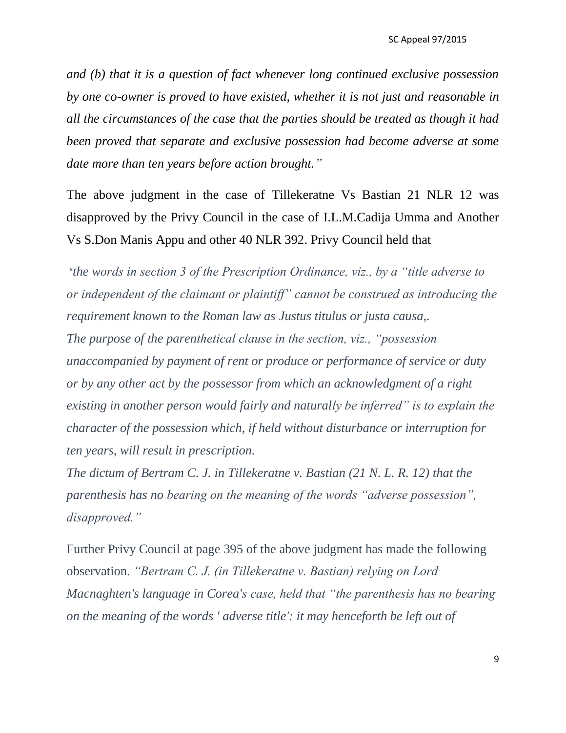*and (b) that it is a question of fact whenever long continued exclusive possession by one co-owner is proved to have existed, whether it is not just and reasonable in all the circumstances of the case that the parties should be treated as though it had been proved that separate and exclusive possession had become adverse at some date more than ten years before action brought."*

The above judgment in the case of Tillekeratne Vs Bastian 21 NLR 12 was disapproved by the Privy Council in the case of I.L.M.Cadija Umma and Another Vs S.Don Manis Appu and other 40 NLR 392. Privy Council held that

"*the words in section 3 of the Prescription Ordinance, viz., by a "title adverse to or independent of the claimant or plaintiff" cannot be construed as introducing the requirement known to the Roman law as Justus titulus or justa causa,. The purpose of the parenthetical clause in the section, viz., "possession unaccompanied by payment of rent or produce or performance of service or duty or by any other act by the possessor from which an acknowledgment of a right existing in another person would fairly and naturally be inferred" is to explain the character of the possession which, if held without disturbance or interruption for ten years, will result in prescription.*

*The dictum of Bertram C. J. in Tillekeratne v. Bastian (21 N. L. R. 12) that the parenthesis has no bearing on the meaning of the words "adverse possession", disapproved."*

Further Privy Council at page 395 of the above judgment has made the following observation. *"Bertram C. J. (in Tillekeratne v. Bastian) relying on Lord Macnaghten's language in Corea's case, held that "the parenthesis has no bearing on the meaning of the words ' adverse title': it may henceforth be left out of* 

9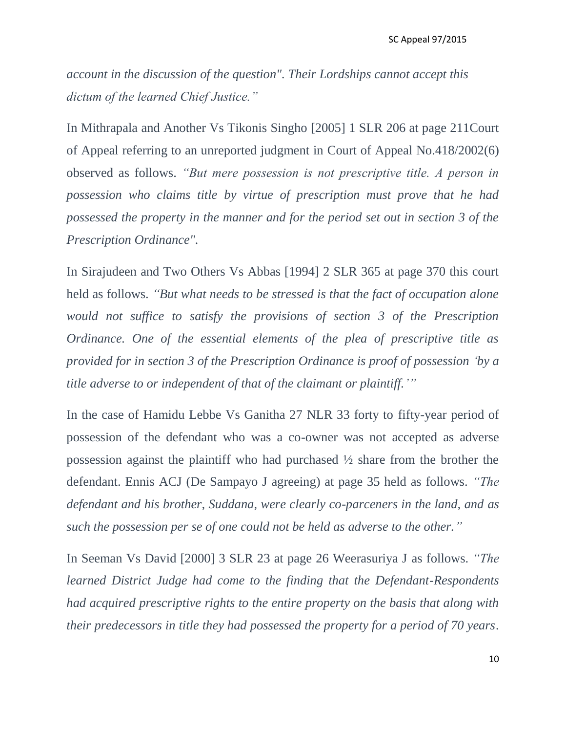*account in the discussion of the question". Their Lordships cannot accept this dictum of the learned Chief Justice."*

In Mithrapala and Another Vs Tikonis Singho [2005] 1 SLR 206 at page 211Court of Appeal referring to an unreported judgment in Court of Appeal No.418/2002(6) observed as follows. *"But mere possession is not prescriptive title. A person in possession who claims title by virtue of prescription must prove that he had possessed the property in the manner and for the period set out in section 3 of the Prescription Ordinance".*

In Sirajudeen and Two Others Vs Abbas [1994] 2 SLR 365 at page 370 this court held as follows. *"But what needs to be stressed is that the fact of occupation alone would not suffice to satisfy the provisions of section 3 of the Prescription Ordinance. One of the essential elements of the plea of prescriptive title as provided for in section 3 of the Prescription Ordinance is proof of possession "by a title adverse to or independent of that of the claimant or plaintiff.""*

In the case of Hamidu Lebbe Vs Ganitha 27 NLR 33 forty to fifty-year period of possession of the defendant who was a co-owner was not accepted as adverse possession against the plaintiff who had purchased ½ share from the brother the defendant. Ennis ACJ (De Sampayo J agreeing) at page 35 held as follows. *"The defendant and his brother, Suddana, were clearly co-parceners in the land, and as such the possession per se of one could not be held as adverse to the other."*

In Seeman Vs David [2000] 3 SLR 23 at page 26 Weerasuriya J as follows. *"The learned District Judge had come to the finding that the Defendant-Respondents had acquired prescriptive rights to the entire property on the basis that along with their predecessors in title they had possessed the property for a period of 70 years.*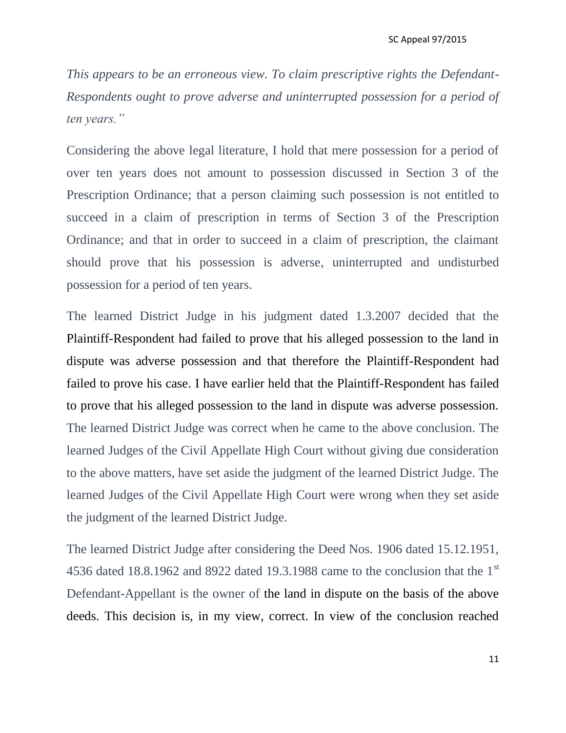*This appears to be an erroneous view. To claim prescriptive rights the Defendant-Respondents ought to prove adverse and uninterrupted possession for a period of ten years."*

Considering the above legal literature, I hold that mere possession for a period of over ten years does not amount to possession discussed in Section 3 of the Prescription Ordinance; that a person claiming such possession is not entitled to succeed in a claim of prescription in terms of Section 3 of the Prescription Ordinance; and that in order to succeed in a claim of prescription, the claimant should prove that his possession is adverse, uninterrupted and undisturbed possession for a period of ten years.

The learned District Judge in his judgment dated 1.3.2007 decided that the Plaintiff-Respondent had failed to prove that his alleged possession to the land in dispute was adverse possession and that therefore the Plaintiff-Respondent had failed to prove his case. I have earlier held that the Plaintiff-Respondent has failed to prove that his alleged possession to the land in dispute was adverse possession. The learned District Judge was correct when he came to the above conclusion. The learned Judges of the Civil Appellate High Court without giving due consideration to the above matters, have set aside the judgment of the learned District Judge. The learned Judges of the Civil Appellate High Court were wrong when they set aside the judgment of the learned District Judge.

The learned District Judge after considering the Deed Nos. 1906 dated 15.12.1951, 4536 dated 18.8.1962 and 8922 dated 19.3.1988 came to the conclusion that the 1<sup>st</sup> Defendant-Appellant is the owner of the land in dispute on the basis of the above deeds. This decision is, in my view, correct. In view of the conclusion reached